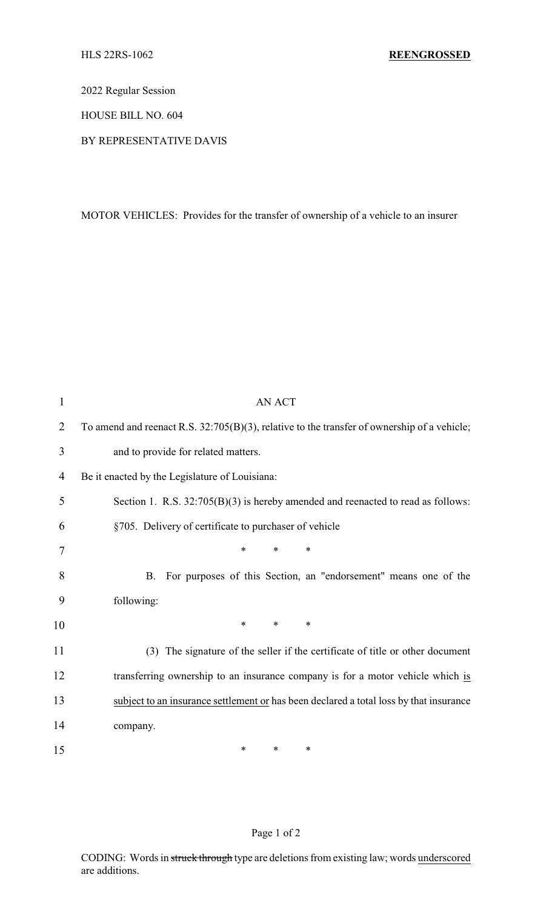2022 Regular Session

HOUSE BILL NO. 604

BY REPRESENTATIVE DAVIS

MOTOR VEHICLES: Provides for the transfer of ownership of a vehicle to an insurer

| $\mathbf 1$    | <b>AN ACT</b>                                                                               |
|----------------|---------------------------------------------------------------------------------------------|
| $\overline{2}$ | To amend and reenact R.S. 32:705(B)(3), relative to the transfer of ownership of a vehicle; |
| 3              | and to provide for related matters.                                                         |
| 4              | Be it enacted by the Legislature of Louisiana:                                              |
| 5              | Section 1. R.S. $32:705(B)(3)$ is hereby amended and reenacted to read as follows:          |
| 6              | §705. Delivery of certificate to purchaser of vehicle                                       |
| 7              | $\ast$<br>$\ast$<br>∗                                                                       |
| 8              | For purposes of this Section, an "endorsement" means one of the<br>Β.                       |
| 9              | following:                                                                                  |
| 10             | $\ast$<br>$\ast$<br>$\ast$                                                                  |
| 11             | (3) The signature of the seller if the certificate of title or other document               |
| 12             | transferring ownership to an insurance company is for a motor vehicle which is              |
| 13             | subject to an insurance settlement or has been declared a total loss by that insurance      |
| 14             | company.                                                                                    |
| 15             | $\ast$<br>∗<br>∗                                                                            |

## Page 1 of 2

CODING: Words in struck through type are deletions from existing law; words underscored are additions.